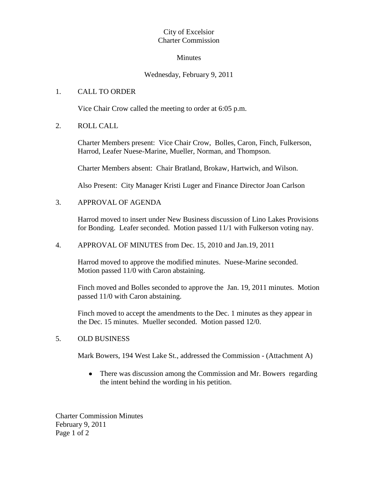## City of Excelsior Charter Commission

#### Minutes

## Wednesday, February 9, 2011

## 1. CALL TO ORDER

Vice Chair Crow called the meeting to order at 6:05 p.m.

2. ROLL CALL

Charter Members present: Vice Chair Crow, Bolles, Caron, Finch, Fulkerson, Harrod, Leafer Nuese-Marine, Mueller, Norman, and Thompson.

Charter Members absent: Chair Bratland, Brokaw, Hartwich, and Wilson.

Also Present: City Manager Kristi Luger and Finance Director Joan Carlson

## 3. APPROVAL OF AGENDA

Harrod moved to insert under New Business discussion of Lino Lakes Provisions for Bonding. Leafer seconded. Motion passed 11/1 with Fulkerson voting nay.

4. APPROVAL OF MINUTES from Dec. 15, 2010 and Jan.19, 2011

Harrod moved to approve the modified minutes. Nuese-Marine seconded. Motion passed 11/0 with Caron abstaining.

Finch moved and Bolles seconded to approve the Jan. 19, 2011 minutes. Motion passed 11/0 with Caron abstaining.

Finch moved to accept the amendments to the Dec. 1 minutes as they appear in the Dec. 15 minutes. Mueller seconded. Motion passed 12/0.

#### 5. OLD BUSINESS

Mark Bowers, 194 West Lake St., addressed the Commission - (Attachment A)

 $\bullet$ There was discussion among the Commission and Mr. Bowers regarding the intent behind the wording in his petition.

Charter Commission Minutes February 9, 2011 Page 1 of 2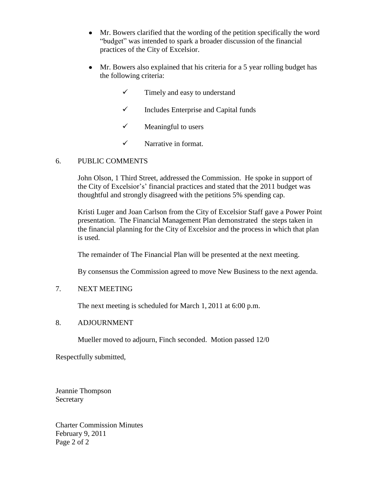- $\bullet$ Mr. Bowers clarified that the wording of the petition specifically the word "budget" was intended to spark a broader discussion of the financial practices of the City of Excelsior.
- Mr. Bowers also explained that his criteria for a 5 year rolling budget has  $\bullet$ the following criteria:
	- $\checkmark$  Timely and easy to understand
	- $\checkmark$  Includes Enterprise and Capital funds
	- $\checkmark$  Meaningful to users
	- $\checkmark$  Narrative in format.

## 6. PUBLIC COMMENTS

John Olson, 1 Third Street, addressed the Commission. He spoke in support of the City of Excelsior's' financial practices and stated that the 2011 budget was thoughtful and strongly disagreed with the petitions 5% spending cap.

Kristi Luger and Joan Carlson from the City of Excelsior Staff gave a Power Point presentation. The Financial Management Plan demonstrated the steps taken in the financial planning for the City of Excelsior and the process in which that plan is used.

The remainder of The Financial Plan will be presented at the next meeting.

By consensus the Commission agreed to move New Business to the next agenda.

## 7. NEXT MEETING

The next meeting is scheduled for March 1, 2011 at 6:00 p.m.

#### 8. ADJOURNMENT

Mueller moved to adjourn, Finch seconded. Motion passed 12/0

Respectfully submitted,

Jeannie Thompson Secretary

Charter Commission Minutes February 9, 2011 Page 2 of 2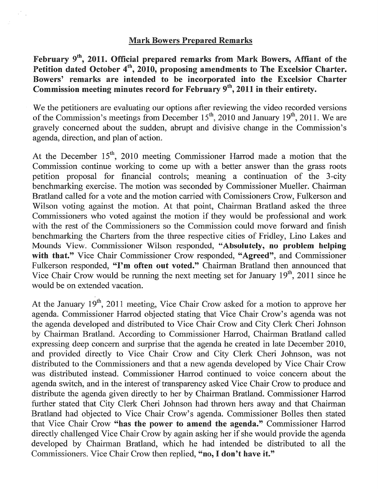# **Mark Bowers Prepared Remarks**

February 9<sup>th</sup>, 2011. Official prepared remarks from Mark Bowers, Affiant of the Petition dated October 4<sup>th</sup>, 2010, proposing amendments to The Excelsior Charter. Bowers' remarks are intended to be incorporated into the Excelsior Charter Commission meeting minutes record for February  $9<sup>th</sup>$ , 2011 in their entirety.

We the petitioners are evaluating our options after reviewing the video recorded versions of the Commission's meetings from December  $15<sup>th</sup>$ , 2010 and January 19<sup>th</sup>, 2011. We are gravely concerned about the sudden, abrupt and divisive change in the Commission's agenda, direction, and plan of action.

At the December  $15<sup>th</sup>$ , 2010 meeting Commissioner Harrod made a motion that the Commission continue working to come up with a better answer than the grass roots petition proposal for financial controls; meaning a continuation of the 3-city benchmarking exercise. The motion was seconded by Commissioner Mueller. Chairman Bratland called for a vote and the motion carried with Comissioners Crow, Fulkerson and Wilson voting against the motion. At that point, Chairman Bratland asked the three Commissioners who voted against the motion if they would be professional and work with the rest of the Commissioners so the Commission could move forward and finish benchmarking the Charters from the three respective cities of Fridley, Lino Lakes and Mounds View. Commissioner Wilson responded, "Absolutely, no problem helping with that." Vice Chair Commissioner Crow responded, "Agreed", and Commissioner Fulkerson responded, "I'm often out voted." Chairman Bratland then announced that Vice Chair Crow would be running the next meeting set for January  $19<sup>th</sup>$ , 2011 since he would be on extended vacation.

At the January  $19<sup>th</sup>$ , 2011 meeting, Vice Chair Crow asked for a motion to approve her agenda. Commissioner Harrod objected stating that Vice Chair Crow's agenda was not the agenda developed and distributed to Vice Chair Crow and City Clerk Cheri Johnson by Chairman Bratland. According to Commissioner Harrod, Chairman Bratland called expressing deep concern and surprise that the agenda he created in late December 2010, and provided directly to Vice Chair Crow and City Clerk Cheri Johnson, was not distributed to the Commissioners and that a new agenda developed by Vice Chair Crow was distributed instead. Commissioner Harrod continued to voice concern about the agenda switch, and in the interest of transparency asked Vice Chair Crow to produce and distribute the agenda given directly to her by Chairman Bratland. Commissioner Harrod further stated that City Clerk Cheri Johnson had thrown hers away and that Chairman Bratland had objected to Vice Chair Crow's agenda. Commissioner Bolles then stated that Vice Chair Crow "has the power to amend the agenda." Commissioner Harrod directly challenged Vice Chair Crow by again asking her if she would provide the agenda developed by Chairman Bratland, which he had intended be distributed to all the Commissioners. Vice Chair Crow then replied, "no, I don't have it."